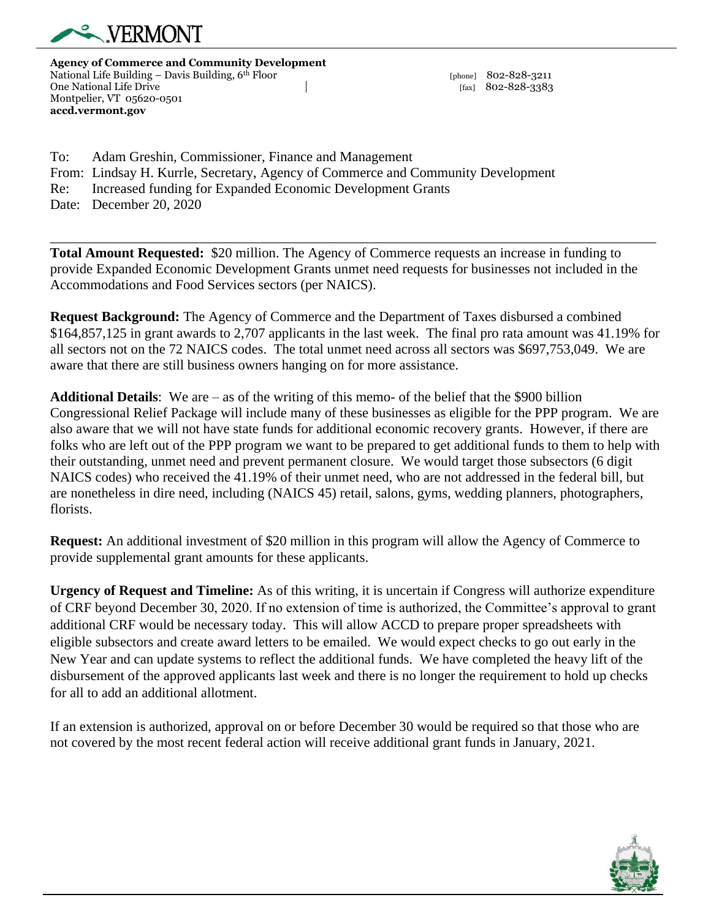

**Agency of Commerce and Community Development**  National Life Building – Davis Building, 6<sup>th</sup> Floor [phone] 802-828-3211 One National Life Drive **Contact 2018** 202-828-3383 Montpelier, VT 05620-0501 **accd.vermont.gov** 

To: Adam Greshin, Commissioner, Finance and Management From: Lindsay H. Kurrle, Secretary, Agency of Commerce and Community Development Re: Increased funding for Expanded Economic Development Grants Date: December 20, 2020

**Total Amount Requested:** \$20 million. The Agency of Commerce requests an increase in funding to provide Expanded Economic Development Grants unmet need requests for businesses not included in the Accommodations and Food Services sectors (per NAICS).

\_\_\_\_\_\_\_\_\_\_\_\_\_\_\_\_\_\_\_\_\_\_\_\_\_\_\_\_\_\_\_\_\_\_\_\_\_\_\_\_\_\_\_\_\_\_\_\_\_\_\_\_\_\_\_\_\_\_\_\_\_\_\_\_\_\_\_\_\_\_\_\_\_\_\_\_\_\_\_\_\_\_\_\_\_\_\_

**Request Background:** The Agency of Commerce and the Department of Taxes disbursed a combined \$164,857,125 in grant awards to 2,707 applicants in the last week. The final pro rata amount was 41.19% for all sectors not on the 72 NAICS codes. The total unmet need across all sectors was \$697,753,049. We are aware that there are still business owners hanging on for more assistance.

**Additional Details**: We are – as of the writing of this memo- of the belief that the \$900 billion Congressional Relief Package will include many of these businesses as eligible for the PPP program. We are also aware that we will not have state funds for additional economic recovery grants. However, if there are folks who are left out of the PPP program we want to be prepared to get additional funds to them to help with their outstanding, unmet need and prevent permanent closure. We would target those subsectors (6 digit NAICS codes) who received the 41.19% of their unmet need, who are not addressed in the federal bill, but are nonetheless in dire need, including (NAICS 45) retail, salons, gyms, wedding planners, photographers, florists.

**Request:** An additional investment of \$20 million in this program will allow the Agency of Commerce to provide supplemental grant amounts for these applicants.

**Urgency of Request and Timeline:** As of this writing, it is uncertain if Congress will authorize expenditure of CRF beyond December 30, 2020. If no extension of time is authorized, the Committee's approval to grant additional CRF would be necessary today. This will allow ACCD to prepare proper spreadsheets with eligible subsectors and create award letters to be emailed. We would expect checks to go out early in the New Year and can update systems to reflect the additional funds. We have completed the heavy lift of the disbursement of the approved applicants last week and there is no longer the requirement to hold up checks for all to add an additional allotment.

If an extension is authorized, approval on or before December 30 would be required so that those who are not covered by the most recent federal action will receive additional grant funds in January, 2021.